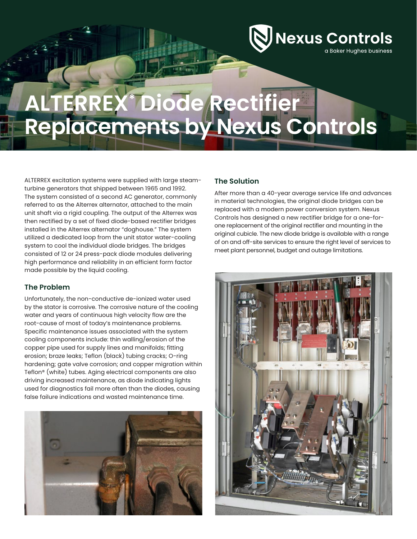Nexus Controls a Baker Hughes business

# **ALTERREX\* Diode Rectifier Replacements by Nexus Controls**

ALTERREX excitation systems were supplied with large steamturbine generators that shipped between 1965 and 1992. The system consisted of a second AC generator, commonly referred to as the Alterrex alternator, attached to the main unit shaft via a rigid coupling. The output of the Alterrex was then rectified by a set of fixed diode-based rectifier bridges installed in the Alterrex alternator "doghouse." The system utilized a dedicated loop from the unit stator water-cooling system to cool the individual diode bridges. The bridges consisted of 12 or 24 press-pack diode modules delivering high performance and reliability in an efficient form factor made possible by the liquid cooling.

## **The Problem**

Unfortunately, the non-conductive de-ionized water used by the stator is corrosive. The corrosive nature of the cooling water and years of continuous high velocity flow are the root-cause of most of today's maintenance problems. Specific maintenance issues associated with the system cooling components include: thin walling/erosion of the copper pipe used for supply lines and manifolds; fitting erosion; braze leaks; Teflon (black) tubing cracks; O-ring hardening; gate valve corrosion; and copper migration within Teflon® (white) tubes. Aging electrical components are also driving increased maintenance, as diode indicating lights used for diagnostics fail more often than the diodes, causing false failure indications and wasted maintenance time.



### **The Solution**

After more than a 40-year average service life and advances in material technologies, the original diode bridges can be replaced with a modern power conversion system. Nexus Controls has designed a new rectifier bridge for a one-forone replacement of the original rectifier and mounting in the original cubicle. The new diode bridge is available with a range of on and off-site services to ensure the right level of services to meet plant personnel, budget and outage limitations.

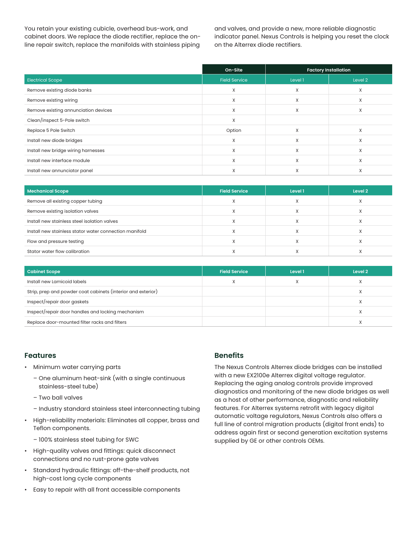You retain your existing cubicle, overhead bus-work, and cabinet doors. We replace the diode rectifier, replace the online repair switch, replace the manifolds with stainless piping

and valves, and provide a new, more reliable diagnostic indicator panel. Nexus Controls is helping you reset the clock on the Alterrex diode rectifiers.

|                                      | On-Site              | <b>Factory Installation</b> |         |
|--------------------------------------|----------------------|-----------------------------|---------|
| <b>Electrical Scope</b>              | <b>Field Service</b> | Level 1                     | Level 2 |
| Remove existing diode banks          | $\times$             | X                           | X       |
| Remove existing wiring               | $\times$             | X                           | X       |
| Remove existing annunciation devices | X                    | X                           | X       |
| Clean/inspect 5-Pole switch          | $\times$             |                             |         |
| Replace 5 Pole Switch                | Option               | X                           | X       |
| Install new diode bridges            | X                    | X                           | Χ       |
| Install new bridge wiring harnesses  | X                    | X                           | X       |
| Install new interface module         | X                    | X                           | X       |
| Install new annunciator panel        | X                    | X                           | X       |

| <b>Mechanical Scope</b>                                | <b>Field Service</b> | Level 1   | Level 2 |
|--------------------------------------------------------|----------------------|-----------|---------|
| Remove all existing copper tubing                      |                      |           |         |
| Remove existing isolation valves                       |                      |           |         |
| Install new stainless steel isolation valves           |                      | $\lambda$ |         |
| Install new stainless stator water connection manifold |                      |           |         |
| Flow and pressure testing                              |                      |           |         |
| Stator water flow calibration                          |                      |           |         |

| <b>Cabinet Scope</b>                                         | <b>Field Service</b> | Level 1 | Level 2 |
|--------------------------------------------------------------|----------------------|---------|---------|
| Install new Lamicoid labels                                  |                      |         | ⋏       |
| Strip, prep and powder coat cabinets (interior and exterior) |                      |         | л       |
| Inspect/repair door gaskets                                  |                      |         | χ       |
| Inspect/repair door handles and locking mechanism            |                      |         |         |
| Replace door-mounted filter racks and filters                |                      |         |         |

#### **Features**

- Minimum water carrying parts
	- One aluminum heat-sink (with a single continuous stainless-steel tube)
	- Two ball valves
	- Industry standard stainless steel interconnecting tubing
- High-reliability materials: Eliminates all copper, brass and Teflon components.
	- 100% stainless steel tubing for SWC
- High-quality valves and fittings: quick disconnect connections and no rust-prone gate valves
- Standard hydraulic fittings: off-the-shelf products, not high-cost long cycle components
- Easy to repair with all front accessible components

## **Benefits**

The Nexus Controls Alterrex diode bridges can be installed with a new EX2100e Alterrex digital voltage regulator. Replacing the aging analog controls provide improved diagnostics and monitoring of the new diode bridges as well as a host of other performance, diagnostic and reliability features. For Alterrex systems retrofit with legacy digital automatic voltage regulators, Nexus Controls also offers a full line of control migration products (digital front ends) to address again first or second generation excitation systems supplied by GE or other controls OEMs.